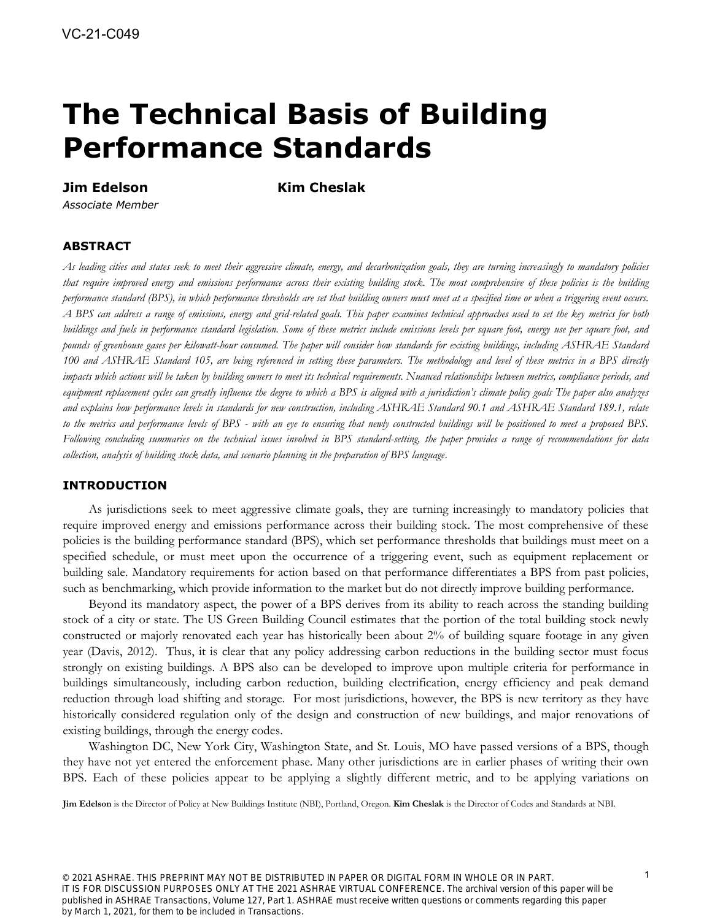# **The Technical Basis of Building Performance Standards**

# **Jim Edelson Kim Cheslak**

*Associate Member* 

# **ABSTRACT**

*As leading cities and states seek to meet their aggressive climate, energy, and decarbonization goals, they are turning increasingly to mandatory policies that require improved energy and emissions performance across their existing building stock. The most comprehensive of these policies is the building performance standard (BPS), in which performance thresholds are set that building owners must meet at a specified time or when a triggering event occurs. A BPS can address a range of emissions, energy and grid-related goals. This paper examines technical approaches used to set the key metrics for both buildings and fuels in performance standard legislation. Some of these metrics include emissions levels per square foot, energy use per square foot, and pounds of greenhouse gases per kilowatt-hour consumed. The paper will consider how standards for existing buildings, including ASHRAE Standard 100 and ASHRAE Standard 105, are being referenced in setting these parameters. The methodology and level of these metrics in a BPS directly*  impacts which actions will be taken by building owners to meet its technical requirements. Nuanced relationships between metrics, compliance periods, and *equipment replacement cycles can greatly influence the degree to which a BPS is aligned with a jurisdiction's climate policy goals The paper also analyzes and explains how performance levels in standards for new construction, including ASHRAE Standard 90.1 and ASHRAE Standard 189.1, relate to the metrics and performance levels of BPS - with an eye to ensuring that newly constructed buildings will be positioned to meet a proposed BPS. Following concluding summaries on the technical issues involved in BPS standard-setting, the paper provides a range of recommendations for data collection, analysis of building stock data, and scenario planning in the preparation of BPS language.*

# **INTRODUCTION**

As jurisdictions seek to meet aggressive climate goals, they are turning increasingly to mandatory policies that require improved energy and emissions performance across their building stock. The most comprehensive of these policies is the building performance standard (BPS), which set performance thresholds that buildings must meet on a specified schedule, or must meet upon the occurrence of a triggering event, such as equipment replacement or building sale. Mandatory requirements for action based on that performance differentiates a BPS from past policies, such as benchmarking, which provide information to the market but do not directly improve building performance.

Beyond its mandatory aspect, the power of a BPS derives from its ability to reach across the standing building stock of a city or state. The US Green Building Council estimates that the portion of the total building stock newly constructed or majorly renovated each year has historically been about 2% of building square footage in any given year (Davis, 2012). Thus, it is clear that any policy addressing carbon reductions in the building sector must focus strongly on existing buildings. A BPS also can be developed to improve upon multiple criteria for performance in buildings simultaneously, including carbon reduction, building electrification, energy efficiency and peak demand reduction through load shifting and storage. For most jurisdictions, however, the BPS is new territory as they have historically considered regulation only of the design and construction of new buildings, and major renovations of existing buildings, through the energy codes.

Washington DC, New York City, Washington State, and St. Louis, MO have passed versions of a BPS, though they have not yet entered the enforcement phase. Many other jurisdictions are in earlier phases of writing their own BPS. Each of these policies appear to be applying a slightly different metric, and to be applying variations on

**Jim Edelson** is the Director of Policy at New Buildings Institute (NBI), Portland, Oregon. **Kim Cheslak** is the Director of Codes and Standards at NBI.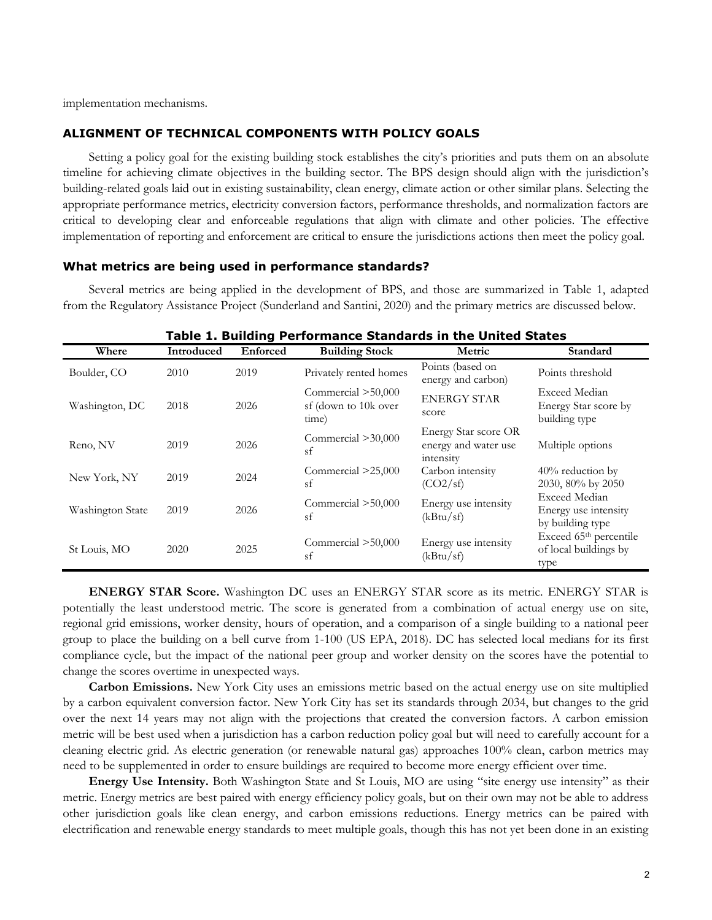implementation mechanisms.

# **ALIGNMENT OF TECHNICAL COMPONENTS WITH POLICY GOALS**

Setting a policy goal for the existing building stock establishes the city's priorities and puts them on an absolute timeline for achieving climate objectives in the building sector. The BPS design should align with the jurisdiction's building-related goals laid out in existing sustainability, clean energy, climate action or other similar plans. Selecting the appropriate performance metrics, electricity conversion factors, performance thresholds, and normalization factors are critical to developing clear and enforceable regulations that align with climate and other policies. The effective implementation of reporting and enforcement are critical to ensure the jurisdictions actions then meet the policy goal.

#### **What metrics are being used in performance standards?**

Several metrics are being applied in the development of BPS, and those are summarized in Table 1, adapted from the Regulatory Assistance Project (Sunderland and Santini, 2020) and the primary metrics are discussed below.

| rable 1. Bullding Performance Standards in the United States |            |          |                                                       |                                                           |                                                                     |  |  |  |  |
|--------------------------------------------------------------|------------|----------|-------------------------------------------------------|-----------------------------------------------------------|---------------------------------------------------------------------|--|--|--|--|
| Where                                                        | Introduced | Enforced | <b>Building Stock</b>                                 | Metric                                                    | Standard                                                            |  |  |  |  |
| Boulder, CO                                                  | 2010       | 2019     | Privately rented homes                                | Points (based on<br>energy and carbon)                    | Points threshold                                                    |  |  |  |  |
| Washington, DC                                               | 2018       | 2026     | Commercial $>50,000$<br>sf (down to 10k over<br>time) | <b>ENERGY STAR</b><br>score                               | Exceed Median<br>Energy Star score by<br>building type              |  |  |  |  |
| Reno, NV                                                     | 2019       | 2026     | Commercial $>30,000$<br>sf                            | Energy Star score OR<br>energy and water use<br>intensity | Multiple options                                                    |  |  |  |  |
| New York, NY                                                 | 2019       | 2024     | Commercial >25,000<br>sf                              | Carbon intensity<br>(CO2/sf)                              | $40\%$ reduction by<br>2030, 80% by 2050                            |  |  |  |  |
| Washington State                                             | 2019       | 2026     | Commercial $>50,000$<br>sf                            | Energy use intensity<br>(kBtu/sf)                         | <b>Exceed Median</b><br>Energy use intensity<br>by building type    |  |  |  |  |
| St Louis, MO                                                 | 2020       | 2025     | Commercial $>50,000$<br>sf                            | Energy use intensity<br>(kBtu/sf)                         | Exceed 65 <sup>th</sup> percentile<br>of local buildings by<br>type |  |  |  |  |

**Table 1. Building Performance Standards in the United States**

**ENERGY STAR Score.** Washington DC uses an ENERGY STAR score as its metric. ENERGY STAR is potentially the least understood metric. The score is generated from a combination of actual energy use on site, regional grid emissions, worker density, hours of operation, and a comparison of a single building to a national peer group to place the building on a bell curve from 1-100 (US EPA, 2018). DC has selected local medians for its first compliance cycle, but the impact of the national peer group and worker density on the scores have the potential to change the scores overtime in unexpected ways.

**Carbon Emissions.** New York City uses an emissions metric based on the actual energy use on site multiplied by a carbon equivalent conversion factor. New York City has set its standards through 2034, but changes to the grid over the next 14 years may not align with the projections that created the conversion factors. A carbon emission metric will be best used when a jurisdiction has a carbon reduction policy goal but will need to carefully account for a cleaning electric grid. As electric generation (or renewable natural gas) approaches 100% clean, carbon metrics may need to be supplemented in order to ensure buildings are required to become more energy efficient over time.

**Energy Use Intensity.** Both Washington State and St Louis, MO are using "site energy use intensity" as their metric. Energy metrics are best paired with energy efficiency policy goals, but on their own may not be able to address other jurisdiction goals like clean energy, and carbon emissions reductions. Energy metrics can be paired with electrification and renewable energy standards to meet multiple goals, though this has not yet been done in an existing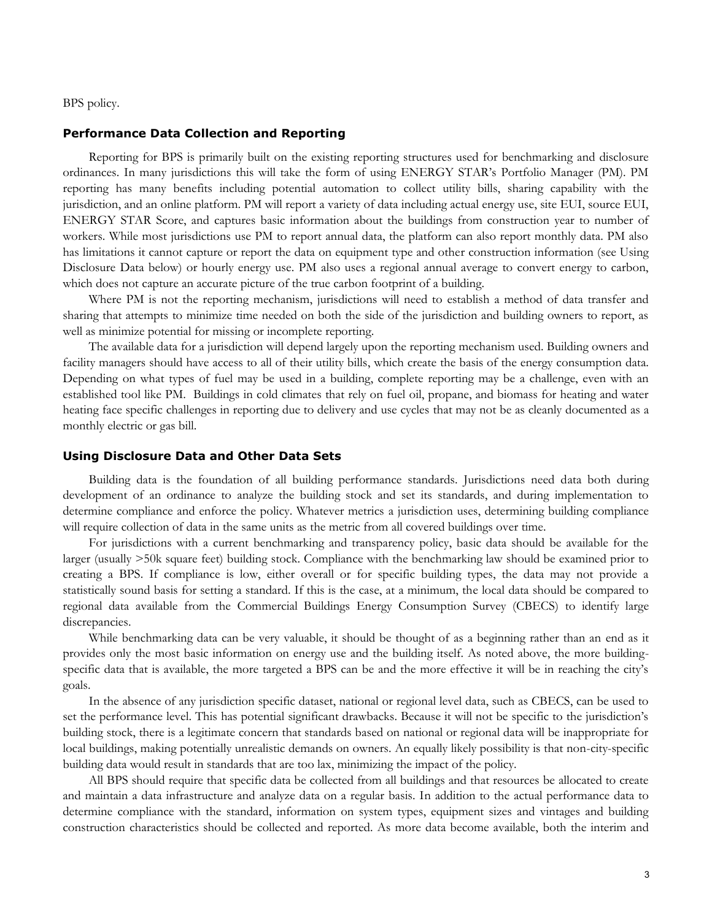BPS policy.

#### **Performance Data Collection and Reporting**

Reporting for BPS is primarily built on the existing reporting structures used for benchmarking and disclosure ordinances. In many jurisdictions this will take the form of using ENERGY STAR's Portfolio Manager (PM). PM reporting has many benefits including potential automation to collect utility bills, sharing capability with the jurisdiction, and an online platform. PM will report a variety of data including actual energy use, site EUI, source EUI, ENERGY STAR Score, and captures basic information about the buildings from construction year to number of workers. While most jurisdictions use PM to report annual data, the platform can also report monthly data. PM also has limitations it cannot capture or report the data on equipment type and other construction information (see Using Disclosure Data below) or hourly energy use. PM also uses a regional annual average to convert energy to carbon, which does not capture an accurate picture of the true carbon footprint of a building.

Where PM is not the reporting mechanism, jurisdictions will need to establish a method of data transfer and sharing that attempts to minimize time needed on both the side of the jurisdiction and building owners to report, as well as minimize potential for missing or incomplete reporting.

The available data for a jurisdiction will depend largely upon the reporting mechanism used. Building owners and facility managers should have access to all of their utility bills, which create the basis of the energy consumption data. Depending on what types of fuel may be used in a building, complete reporting may be a challenge, even with an established tool like PM. Buildings in cold climates that rely on fuel oil, propane, and biomass for heating and water heating face specific challenges in reporting due to delivery and use cycles that may not be as cleanly documented as a monthly electric or gas bill.

#### **Using Disclosure Data and Other Data Sets**

Building data is the foundation of all building performance standards. Jurisdictions need data both during development of an ordinance to analyze the building stock and set its standards, and during implementation to determine compliance and enforce the policy. Whatever metrics a jurisdiction uses, determining building compliance will require collection of data in the same units as the metric from all covered buildings over time.

For jurisdictions with a current benchmarking and transparency policy, basic data should be available for the larger (usually >50k square feet) building stock. Compliance with the benchmarking law should be examined prior to creating a BPS. If compliance is low, either overall or for specific building types, the data may not provide a statistically sound basis for setting a standard. If this is the case, at a minimum, the local data should be compared to regional data available from the Commercial Buildings Energy Consumption Survey (CBECS) to identify large discrepancies.

While benchmarking data can be very valuable, it should be thought of as a beginning rather than an end as it provides only the most basic information on energy use and the building itself. As noted above, the more buildingspecific data that is available, the more targeted a BPS can be and the more effective it will be in reaching the city's goals.

In the absence of any jurisdiction specific dataset, national or regional level data, such as CBECS, can be used to set the performance level. This has potential significant drawbacks. Because it will not be specific to the jurisdiction's building stock, there is a legitimate concern that standards based on national or regional data will be inappropriate for local buildings, making potentially unrealistic demands on owners. An equally likely possibility is that non-city-specific building data would result in standards that are too lax, minimizing the impact of the policy.

All BPS should require that specific data be collected from all buildings and that resources be allocated to create and maintain a data infrastructure and analyze data on a regular basis. In addition to the actual performance data to determine compliance with the standard, information on system types, equipment sizes and vintages and building construction characteristics should be collected and reported. As more data become available, both the interim and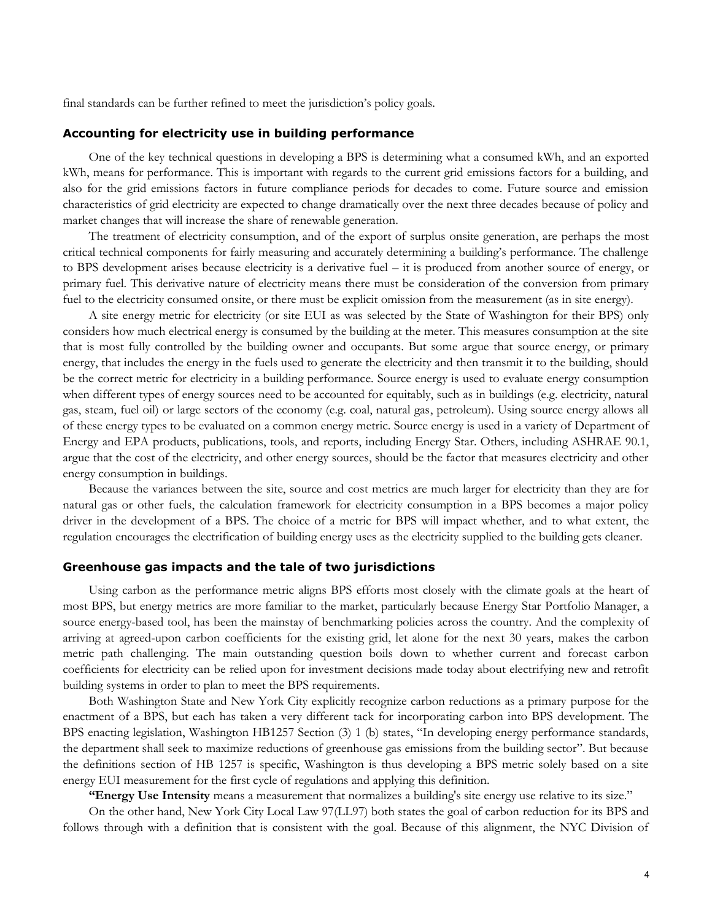final standards can be further refined to meet the jurisdiction's policy goals.

#### **Accounting for electricity use in building performance**

One of the key technical questions in developing a BPS is determining what a consumed kWh, and an exported kWh, means for performance. This is important with regards to the current grid emissions factors for a building, and also for the grid emissions factors in future compliance periods for decades to come. Future source and emission characteristics of grid electricity are expected to change dramatically over the next three decades because of policy and market changes that will increase the share of renewable generation.

The treatment of electricity consumption, and of the export of surplus onsite generation, are perhaps the most critical technical components for fairly measuring and accurately determining a building's performance. The challenge to BPS development arises because electricity is a derivative fuel – it is produced from another source of energy, or primary fuel. This derivative nature of electricity means there must be consideration of the conversion from primary fuel to the electricity consumed onsite, or there must be explicit omission from the measurement (as in site energy).

A site energy metric for electricity (or site EUI as was selected by the State of Washington for their BPS) only considers how much electrical energy is consumed by the building at the meter. This measures consumption at the site that is most fully controlled by the building owner and occupants. But some argue that source energy, or primary energy, that includes the energy in the fuels used to generate the electricity and then transmit it to the building, should be the correct metric for electricity in a building performance. Source energy is used to evaluate energy consumption when different types of energy sources need to be accounted for equitably, such as in buildings (e.g. electricity, natural gas, steam, fuel oil) or large sectors of the economy (e.g. coal, natural gas, petroleum). Using source energy allows all of these energy types to be evaluated on a common energy metric. Source energy is used in a variety of Department of Energy and EPA products, publications, tools, and reports, including Energy Star. Others, including ASHRAE 90.1, argue that the cost of the electricity, and other energy sources, should be the factor that measures electricity and other energy consumption in buildings.

Because the variances between the site, source and cost metrics are much larger for electricity than they are for natural gas or other fuels, the calculation framework for electricity consumption in a BPS becomes a major policy driver in the development of a BPS. The choice of a metric for BPS will impact whether, and to what extent, the regulation encourages the electrification of building energy uses as the electricity supplied to the building gets cleaner.

#### **Greenhouse gas impacts and the tale of two jurisdictions**

Using carbon as the performance metric aligns BPS efforts most closely with the climate goals at the heart of most BPS, but energy metrics are more familiar to the market, particularly because Energy Star Portfolio Manager, a source energy-based tool, has been the mainstay of benchmarking policies across the country. And the complexity of arriving at agreed-upon carbon coefficients for the existing grid, let alone for the next 30 years, makes the carbon metric path challenging. The main outstanding question boils down to whether current and forecast carbon coefficients for electricity can be relied upon for investment decisions made today about electrifying new and retrofit building systems in order to plan to meet the BPS requirements.

Both Washington State and New York City explicitly recognize carbon reductions as a primary purpose for the enactment of a BPS, but each has taken a very different tack for incorporating carbon into BPS development. The BPS enacting legislation, Washington HB1257 Section (3) 1 (b) states, "In developing energy performance standards, the department shall seek to maximize reductions of greenhouse gas emissions from the building sector". But because the definitions section of HB 1257 is specific, Washington is thus developing a BPS metric solely based on a site energy EUI measurement for the first cycle of regulations and applying this definition.

**"Energy Use Intensity** means a measurement that normalizes a building's site energy use relative to its size."

On the other hand, New York City Local Law 97(LL97) both states the goal of carbon reduction for its BPS and follows through with a definition that is consistent with the goal. Because of this alignment, the NYC Division of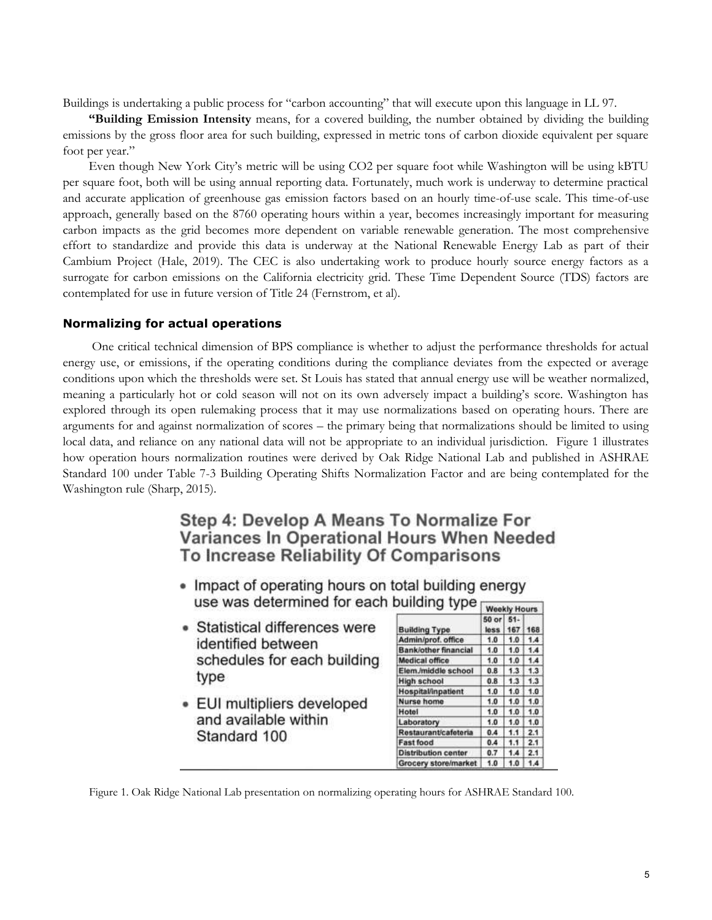Buildings is undertaking a public process for "carbon accounting" that will execute upon this language in LL 97.

**"Building Emission Intensity** means, for a covered building, the number obtained by dividing the building emissions by the gross floor area for such building, expressed in metric tons of carbon dioxide equivalent per square foot per year."

Even though New York City's metric will be using CO2 per square foot while Washington will be using kBTU per square foot, both will be using annual reporting data. Fortunately, much work is underway to determine practical and accurate application of greenhouse gas emission factors based on an hourly time-of-use scale. This time-of-use approach, generally based on the 8760 operating hours within a year, becomes increasingly important for measuring carbon impacts as the grid becomes more dependent on variable renewable generation. The most comprehensive effort to standardize and provide this data is underway at the National Renewable Energy Lab as part of their Cambium Project (Hale, 2019). The CEC is also undertaking work to produce hourly source energy factors as a surrogate for carbon emissions on the California electricity grid. These Time Dependent Source (TDS) factors are contemplated for use in future version of Title 24 (Fernstrom, et al).

#### **Normalizing for actual operations**

One critical technical dimension of BPS compliance is whether to adjust the performance thresholds for actual energy use, or emissions, if the operating conditions during the compliance deviates from the expected or average conditions upon which the thresholds were set. St Louis has stated that annual energy use will be weather normalized, meaning a particularly hot or cold season will not on its own adversely impact a building's score. Washington has explored through its open rulemaking process that it may use normalizations based on operating hours. There are arguments for and against normalization of scores – the primary being that normalizations should be limited to using local data, and reliance on any national data will not be appropriate to an individual jurisdiction. Figure 1 illustrates how operation hours normalization routines were derived by Oak Ridge National Lab and published in ASHRAE Standard 100 under Table 7-3 Building Operating Shifts Normalization Factor and are being contemplated for the Washington rule (Sharp, 2015).

# Step 4: Develop A Means To Normalize For Variances In Operational Hours When Needed To Increase Reliability Of Comparisons

- Impact of operating hours on total building energy use was determined for each building type
- Statistical differences were identified between schedules for each building type
- · EUI multipliers developed and available within Standard 100

| ununiy iype                | <b>Weekly Hours</b> |              |     |
|----------------------------|---------------------|--------------|-----|
| <b>Building Type</b>       | 50 or<br>loss       | $51-$<br>167 | 168 |
| Admin/prof. office         | 1.0                 | 1.0          | 1.4 |
| Bank/other financial       | 1.0                 | 1.0          | 1.4 |
| Medical office             | 1.0                 | 1.0          | 1.4 |
| Elem./middle school        | 0.8                 | 1.3          | 1.3 |
| High school                | 0.8                 | 1.3          | 1.3 |
| Hospital/Inpatient         | 1.0                 | 1.0          | 1.0 |
| Nurse home                 | 1.0                 | 1.0          | 1.0 |
| Hotel                      | 1.0                 | 1.0          | 1.0 |
| Laboratory                 | 1.0                 | 1.0          | 1.0 |
| Restaurant/cafeteria       | 0.4                 | 1.1          | 2.1 |
| <b>Fast food</b>           | 0.4                 | 1.1          | 2.1 |
| <b>Distribution center</b> | 0.7                 | 14           | 2.1 |
| Grocery store/market       | 1.0                 | 1.0          | 1.4 |

Figure 1. Oak Ridge National Lab presentation on normalizing operating hours for ASHRAE Standard 100.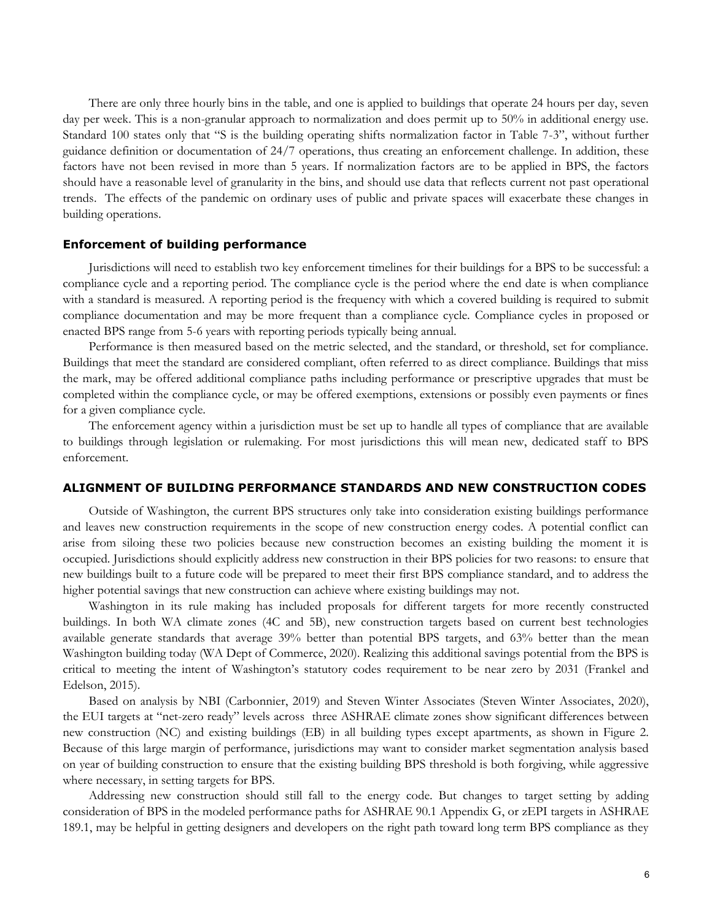There are only three hourly bins in the table, and one is applied to buildings that operate 24 hours per day, seven day per week. This is a non-granular approach to normalization and does permit up to 50% in additional energy use. Standard 100 states only that "S is the building operating shifts normalization factor in Table 7-3", without further guidance definition or documentation of 24/7 operations, thus creating an enforcement challenge. In addition, these factors have not been revised in more than 5 years. If normalization factors are to be applied in BPS, the factors should have a reasonable level of granularity in the bins, and should use data that reflects current not past operational trends. The effects of the pandemic on ordinary uses of public and private spaces will exacerbate these changes in building operations.

## **Enforcement of building performance**

Jurisdictions will need to establish two key enforcement timelines for their buildings for a BPS to be successful: a compliance cycle and a reporting period. The compliance cycle is the period where the end date is when compliance with a standard is measured. A reporting period is the frequency with which a covered building is required to submit compliance documentation and may be more frequent than a compliance cycle. Compliance cycles in proposed or enacted BPS range from 5-6 years with reporting periods typically being annual.

Performance is then measured based on the metric selected, and the standard, or threshold, set for compliance. Buildings that meet the standard are considered compliant, often referred to as direct compliance. Buildings that miss the mark, may be offered additional compliance paths including performance or prescriptive upgrades that must be completed within the compliance cycle, or may be offered exemptions, extensions or possibly even payments or fines for a given compliance cycle.

The enforcement agency within a jurisdiction must be set up to handle all types of compliance that are available to buildings through legislation or rulemaking. For most jurisdictions this will mean new, dedicated staff to BPS enforcement.

#### **ALIGNMENT OF BUILDING PERFORMANCE STANDARDS AND NEW CONSTRUCTION CODES**

Outside of Washington, the current BPS structures only take into consideration existing buildings performance and leaves new construction requirements in the scope of new construction energy codes. A potential conflict can arise from siloing these two policies because new construction becomes an existing building the moment it is occupied. Jurisdictions should explicitly address new construction in their BPS policies for two reasons: to ensure that new buildings built to a future code will be prepared to meet their first BPS compliance standard, and to address the higher potential savings that new construction can achieve where existing buildings may not.

Washington in its rule making has included proposals for different targets for more recently constructed buildings. In both WA climate zones (4C and 5B), new construction targets based on current best technologies available generate standards that average 39% better than potential BPS targets, and 63% better than the mean Washington building today (WA Dept of Commerce, 2020). Realizing this additional savings potential from the BPS is critical to meeting the intent of Washington's statutory codes requirement to be near zero by 2031 (Frankel and Edelson, 2015).

Based on analysis by NBI (Carbonnier, 2019) and Steven Winter Associates (Steven Winter Associates, 2020), the EUI targets at "net-zero ready" levels across three ASHRAE climate zones show significant differences between new construction (NC) and existing buildings (EB) in all building types except apartments, as shown in Figure 2. Because of this large margin of performance, jurisdictions may want to consider market segmentation analysis based on year of building construction to ensure that the existing building BPS threshold is both forgiving, while aggressive where necessary, in setting targets for BPS.

Addressing new construction should still fall to the energy code. But changes to target setting by adding consideration of BPS in the modeled performance paths for ASHRAE 90.1 Appendix G, or zEPI targets in ASHRAE 189.1, may be helpful in getting designers and developers on the right path toward long term BPS compliance as they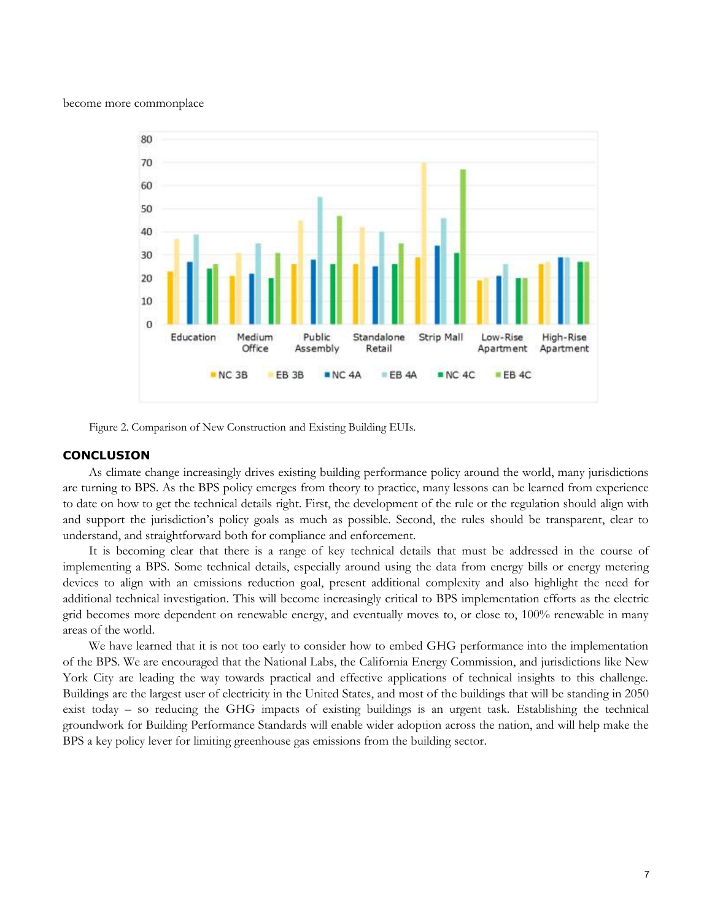become more commonplace



Figure 2. Comparison of New Construction and Existing Building EUIs.

# **CONCLUSION**

As climate change increasingly drives existing building performance policy around the world, many jurisdictions are turning to BPS. As the BPS policy emerges from theory to practice, many lessons can be learned from experience to date on how to get the technical details right. First, the development of the rule or the regulation should align with and support the jurisdiction's policy goals as much as possible. Second, the rules should be transparent, clear to understand, and straightforward both for compliance and enforcement.

It is becoming clear that there is a range of key technical details that must be addressed in the course of implementing a BPS. Some technical details, especially around using the data from energy bills or energy metering devices to align with an emissions reduction goal, present additional complexity and also highlight the need for additional technical investigation. This will become increasingly critical to BPS implementation efforts as the electric grid becomes more dependent on renewable energy, and eventually moves to, or close to, 100% renewable in many areas of the world.

We have learned that it is not too early to consider how to embed GHG performance into the implementation of the BPS. We are encouraged that the National Labs, the California Energy Commission, and jurisdictions like New York City are leading the way towards practical and effective applications of technical insights to this challenge. Buildings are the largest user of electricity in the United States, and most of the buildings that will be standing in 2050 exist today – so reducing the GHG impacts of existing buildings is an urgent task. Establishing the technical groundwork for Building Performance Standards will enable wider adoption across the nation, and will help make the BPS a key policy lever for limiting greenhouse gas emissions from the building sector.